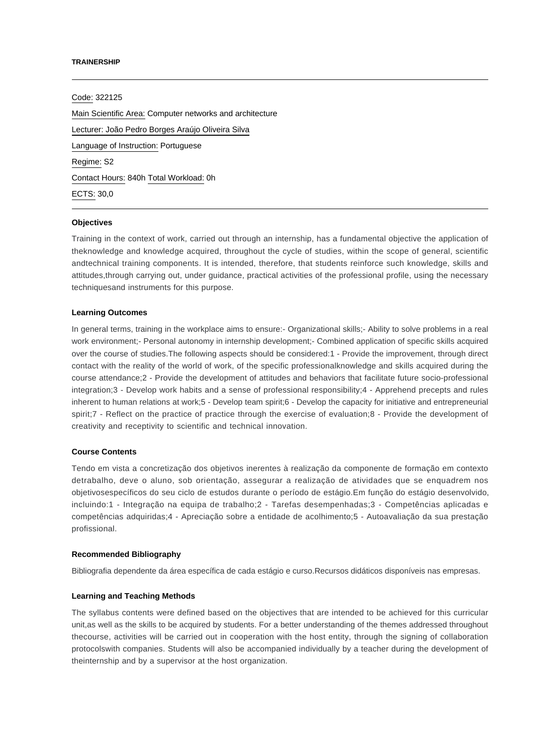#### **TRAINERSHIP**

Code: 322125 Main Scientific Area: Computer networks and architecture Lecturer: [João Pedro Borges Araújo Oliveira Silva](mailto:jpbsilva@ipca.pt) Language of Instruction: Portuguese Regime: S2 Contact Hours: 840h Total Workload: 0h ECTS: 30,0

# **Objectives**

Training in the context of work, carried out through an internship, has a fundamental objective the application of theknowledge and knowledge acquired, throughout the cycle of studies, within the scope of general, scientific andtechnical training components. It is intended, therefore, that students reinforce such knowledge, skills and attitudes,through carrying out, under guidance, practical activities of the professional profile, using the necessary techniquesand instruments for this purpose.

# **Learning Outcomes**

In general terms, training in the workplace aims to ensure:- Organizational skills;- Ability to solve problems in a real work environment;- Personal autonomy in internship development;- Combined application of specific skills acquired over the course of studies.The following aspects should be considered:1 - Provide the improvement, through direct contact with the reality of the world of work, of the specific professionalknowledge and skills acquired during the course attendance;2 - Provide the development of attitudes and behaviors that facilitate future socio-professional integration;3 - Develop work habits and a sense of professional responsibility;4 - Apprehend precepts and rules inherent to human relations at work;5 - Develop team spirit;6 - Develop the capacity for initiative and entrepreneurial spirit;7 - Reflect on the practice of practice through the exercise of evaluation;8 - Provide the development of creativity and receptivity to scientific and technical innovation.

## **Course Contents**

Tendo em vista a concretização dos objetivos inerentes à realização da componente de formação em contexto detrabalho, deve o aluno, sob orientação, assegurar a realização de atividades que se enquadrem nos objetivosespecíficos do seu ciclo de estudos durante o período de estágio.Em função do estágio desenvolvido, incluindo:1 - Integração na equipa de trabalho;2 - Tarefas desempenhadas;3 - Competências aplicadas e competências adquiridas;4 - Apreciação sobre a entidade de acolhimento;5 - Autoavaliação da sua prestação profissional.

#### **Recommended Bibliography**

Bibliografia dependente da área específica de cada estágio e curso.Recursos didáticos disponíveis nas empresas.

## **Learning and Teaching Methods**

The syllabus contents were defined based on the objectives that are intended to be achieved for this curricular unit,as well as the skills to be acquired by students. For a better understanding of the themes addressed throughout thecourse, activities will be carried out in cooperation with the host entity, through the signing of collaboration protocolswith companies. Students will also be accompanied individually by a teacher during the development of theinternship and by a supervisor at the host organization.